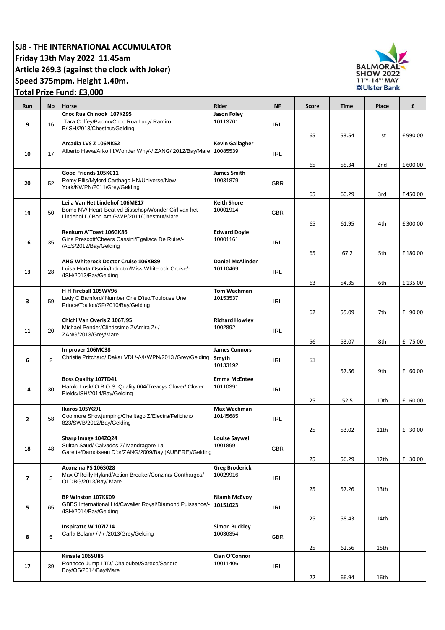**SJ8 - THE INTERNATIONAL ACCUMULATOR** 

**Friday 13th May 2022 11.45am**

**Article 269.3 (against the clock with Joker)**

## **Speed 375mpm. Height 1.40m.**

**Total Prize Fund: £3,000** 

| Run            | No             | <b>Horse</b>                                                                                                           | Rider                            | <b>NF</b>  | <b>Score</b> | <b>Time</b> | Place           | £       |
|----------------|----------------|------------------------------------------------------------------------------------------------------------------------|----------------------------------|------------|--------------|-------------|-----------------|---------|
|                |                | Cnoc Rua Chinook 107KZ95                                                                                               | Jason Foley                      |            |              |             |                 |         |
| 9              | 16             | Tara Coffey/Pacino/Cnoc Rua Lucy/ Ramiro<br>B/ISH/2013/Chestnut/Gelding                                                | 10113701                         | <b>IRL</b> |              |             |                 |         |
|                |                |                                                                                                                        |                                  |            | 65           | 53.54       | 1st             | £990.00 |
|                |                | Arcadia LVS Z 106NK52                                                                                                  | <b>Kevin Gallagher</b>           |            |              |             |                 |         |
|                | 17             | Alberto Hawa/Arko III/Wonder Why/-/ ZANG/ 2012/Bay/Mare                                                                | 10085539                         |            |              |             |                 |         |
| 10             |                |                                                                                                                        |                                  | <b>IRL</b> |              |             |                 |         |
|                |                |                                                                                                                        |                                  |            | 65           | 55.34       | 2 <sub>nd</sub> | £600.00 |
|                |                | Good Friends 105KC11<br>Remy Ellis/Mylord Carthago HN/Universe/New                                                     | James Smith<br>10031879          |            |              |             |                 |         |
| 20             | 52             | York/KWPN/2011/Grey/Gelding                                                                                            |                                  | <b>GBR</b> |              |             |                 |         |
|                |                |                                                                                                                        |                                  |            | 65           | 60.29       | 3rd             | £450.00 |
|                |                | Leila Van Het Lindehof 106ME17                                                                                         | <b>Keith Shore</b>               |            |              |             |                 |         |
| 19             | 50             | Bomo NV/ Heart-Beat vd Bisschop/Wonder Girl van het<br>Lindehof D/ Bon Ami/BWP/2011/Chestnut/Mare                      | 10001914                         | <b>GBR</b> |              |             |                 |         |
|                |                |                                                                                                                        |                                  |            | 65           | 61.95       | 4th             | £300.00 |
| 16             | 35             | Renkum A'Toast 106GK86                                                                                                 | <b>Edward Doyle</b>              |            |              |             |                 |         |
|                |                | Gina Prescott/Cheers Cassini/Egalisca De Ruire/-<br>/AES/2012/Bay/Gelding                                              | 10001161                         | <b>IRL</b> |              |             |                 |         |
|                |                |                                                                                                                        |                                  |            | 65           | 67.2        | 5th             | £180.00 |
|                |                | AHG Whiterock Doctor Cruise 106XB89                                                                                    | <b>Daniel McAlinden</b>          |            |              |             |                 |         |
| 13             | 28             | Luisa Horta Osorio/Indoctro/Miss Whiterock Cruise/-                                                                    | 10110469                         | <b>IRL</b> |              |             |                 |         |
|                |                | /ISH/2013/Bay/Gelding                                                                                                  |                                  |            |              |             |                 |         |
|                |                |                                                                                                                        |                                  |            | 63           | 54.35       | 6th             | £135.00 |
| 3              | 59             | H H Fireball 105WV96<br>Lady C Bamford/ Number One D'iso/Toulouse Une<br>Prince/Toulon/SF/2010/Bay/Gelding             | Tom Wachman<br>10153537          |            |              |             |                 |         |
|                |                |                                                                                                                        |                                  | <b>IRL</b> |              |             |                 |         |
|                |                |                                                                                                                        |                                  |            | 62           | 55.09       | 7th             | £ 90.00 |
|                |                | Chichi Van Overis Z 106TJ95                                                                                            | <b>Richard Howley</b>            |            |              |             |                 |         |
| 11             | 20             | Michael Pender/Clintissimo Z/Amira Z/-/                                                                                | 1002892                          | <b>IRL</b> |              |             |                 |         |
|                |                | ZANG/2013/Grey/Mare                                                                                                    |                                  |            | 56           | 53.07       | 8th             | £ 75.00 |
|                |                | Improver 106MC38                                                                                                       | <b>James Connors</b>             |            |              |             |                 |         |
| 6              | $\overline{2}$ | Christie Pritchard/ Dakar VDL/-/-/KWPN/2013 /Grey/Gelding                                                              | Smyth                            | <b>IRL</b> | 53           |             |                 |         |
|                |                |                                                                                                                        | 10133192                         |            |              | 57.56       | 9th             | £ 60.00 |
|                |                | <b>Boss Quality 107TD41</b>                                                                                            | <b>Emma McEntee</b>              |            |              |             |                 |         |
|                | 30             | Harold Lusk/ O.B.O.S. Quality 004/Treacys Clover/ Clover                                                               | 10110391                         |            |              |             |                 |         |
| 14             |                | Fields/ISH/2014/Bay/Gelding                                                                                            |                                  | <b>IRL</b> |              |             |                 |         |
|                |                |                                                                                                                        |                                  |            | 25           | 52.5        | 10th            | £ 60.00 |
|                |                | Ikaros 105YG91<br>Coolmore Showjumping/Chelltago Z/Electra/Feliciano                                                   | Max Wachman<br>10145685          |            |              |             |                 |         |
| $\overline{2}$ | 58             | 823/SWB/2012/Bay/Gelding                                                                                               |                                  | <b>IRL</b> |              |             |                 |         |
|                |                |                                                                                                                        |                                  |            | 25           | 53.02       | 11th            | £ 30.00 |
| 18             | 48             | Sharp Image 104ZQ24<br>Sultan Saud/ Calvados Z/ Mandragore La<br>Garette/Damoiseau D'or/ZANG/2009/Bay (AUBERE)/Gelding | <b>Louise Saywell</b>            |            |              |             |                 |         |
|                |                |                                                                                                                        | 10018991                         | <b>GBR</b> |              |             |                 |         |
|                |                |                                                                                                                        |                                  |            | 25           | 56.29       | 12th            | £ 30.00 |
|                |                | Aconzina PS 106S028                                                                                                    | <b>Greg Broderick</b>            |            |              |             |                 |         |
| $\overline{7}$ | 3              | Max O'Reilly Hyland/Action Breaker/Conzina/ Conthargos/                                                                | 10029916                         | IRL        |              |             |                 |         |
|                |                | OLDBG/2013/Bay/ Mare                                                                                                   |                                  |            | 25           | 57.26       | 13th            |         |
|                |                | BP Winston 107KK09                                                                                                     | Niamh McEvoy                     |            |              |             |                 |         |
| 5              | 65             | GBBS International Ltd/Cavalier Royal/Diamond Puissance/-                                                              | 10151023                         | IRL        |              |             |                 |         |
|                |                | /ISH/2014/Bay/Gelding                                                                                                  |                                  |            |              |             |                 |         |
|                |                |                                                                                                                        |                                  |            | 25           | 58.43       | 14th            |         |
|                |                | Inspiratte W 107IZ14<br>Carla Bolam/-/-/-/-/2013/Grey/Gelding                                                          | <b>Simon Buckley</b><br>10036354 |            |              |             |                 |         |
| 8              | 5              |                                                                                                                        |                                  | <b>GBR</b> |              |             |                 |         |
|                |                |                                                                                                                        |                                  |            | 25           | 62.56       | 15th            |         |
|                |                | Kinsale 106SU85                                                                                                        | Cian O'Connor                    |            |              |             |                 |         |
| 17             | 39             | Ronnoco Jump LTD/ Chaloubet/Sareco/Sandro<br>Boy/OS/2014/Bay/Mare                                                      | 10011406                         | <b>IRL</b> |              |             |                 |         |
|                |                |                                                                                                                        |                                  |            | 22           | 66.94       | 16th            |         |
|                |                |                                                                                                                        |                                  |            |              |             |                 |         |